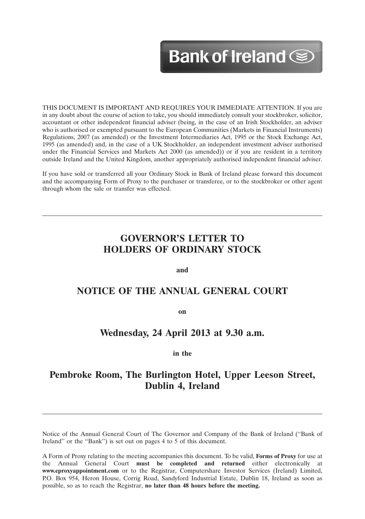# Bank of Ireland Sep

12MAR201310073563

THIS DOCUMENT IS IMPORTANT AND REQUIRES YOUR IMMEDIATE ATTENTION. If you are in any doubt about the course of action to take, you should immediately consult your stockbroker, solicitor, accountant or other independent financial adviser (being, in the case of an Irish Stockholder, an adviser who is authorised or exempted pursuant to the European Communities (Markets in Financial Instruments) Regulations, 2007 (as amended) or the Investment Intermediaries Act, 1995 or the Stock Exchange Act, 1995 (as amended) and, in the case of a UK Stockholder, an independent investment adviser authorised under the Financial Services and Markets Act 2000 (as amended)) or if you are resident in a territory outside Ireland and the United Kingdom, another appropriately authorised independent financial adviser.

If you have sold or transferred all your Ordinary Stock in Bank of Ireland please forward this document and the accompanying Form of Proxy to the purchaser or transferee, or to the stockbroker or other agent through whom the sale or transfer was effected.

# **GOVERNOR'S LETTER TO HOLDERS OF ORDINARY STOCK**

**and**

# **NOTICE OF THE ANNUAL GENERAL COURT**

**on**

# **Wednesday, 24 April 2013 at 9.30 a.m.**

**in the**

# **Pembroke Room, The Burlington Hotel, Upper Leeson Street, Dublin 4, Ireland**

Notice of the Annual General Court of The Governor and Company of the Bank of Ireland (''Bank of Ireland'' or the ''Bank'') is set out on pages 4 to 5 of this document.

A Form of Proxy relating to the meeting accompanies this document. To be valid, **Forms of Proxy** for use at the Annual General Court **must be completed and returned** either electronically at **www.eproxyappointment.com** or to the Registrar, Computershare Investor Services (Ireland) Limited, P.O. Box 954, Heron House, Corrig Road, Sandyford Industrial Estate, Dublin 18, Ireland as soon as possible, so as to reach the Registrar, **no later than 48 hours before the meeting.**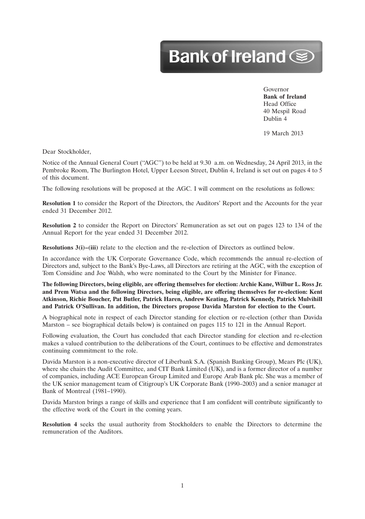# Bank of Ireland Se

Governor **Bank of Ireland** Head Office 40 Mespil Road Dublin 4

12MAR201310073563

19 March 2013

Dear Stockholder,

Notice of the Annual General Court (''AGC'') to be held at 9.30 a.m. on Wednesday, 24 April 2013, in the Pembroke Room, The Burlington Hotel, Upper Leeson Street, Dublin 4, Ireland is set out on pages 4 to 5 of this document.

The following resolutions will be proposed at the AGC. I will comment on the resolutions as follows:

**Resolution 1** to consider the Report of the Directors, the Auditors' Report and the Accounts for the year ended 31 December 2012.

**Resolution 2** to consider the Report on Directors' Remuneration as set out on pages 123 to 134 of the Annual Report for the year ended 31 December 2012.

**Resolutions 3(i)–(iii)** relate to the election and the re-election of Directors as outlined below.

In accordance with the UK Corporate Governance Code, which recommends the annual re-election of Directors and, subject to the Bank's Bye-Laws, all Directors are retiring at the AGC, with the exception of Tom Considine and Joe Walsh, who were nominated to the Court by the Minister for Finance.

**The following Directors, being eligible, are offering themselves for election: Archie Kane, Wilbur L. Ross Jr. and Prem Watsa and the following Directors, being eligible, are offering themselves for re-election: Kent Atkinson, Richie Boucher, Pat Butler, Patrick Haren, Andrew Keating, Patrick Kennedy, Patrick Mulvihill and Patrick O'Sullivan. In addition, the Directors propose Davida Marston for election to the Court.**

A biographical note in respect of each Director standing for election or re-election (other than Davida Marston – see biographical details below) is contained on pages 115 to 121 in the Annual Report.

Following evaluation, the Court has concluded that each Director standing for election and re-election makes a valued contribution to the deliberations of the Court, continues to be effective and demonstrates continuing commitment to the role.

Davida Marston is a non-executive director of Liberbank S.A. (Spanish Banking Group), Mears Plc (UK), where she chairs the Audit Committee, and CIT Bank Limited (UK), and is a former director of a number of companies, including ACE European Group Limited and Europe Arab Bank plc. She was a member of the UK senior management team of Citigroup's UK Corporate Bank (1990–2003) and a senior manager at Bank of Montreal (1981–1990).

Davida Marston brings a range of skills and experience that I am confident will contribute significantly to the effective work of the Court in the coming years.

**Resolution 4** seeks the usual authority from Stockholders to enable the Directors to determine the remuneration of the Auditors.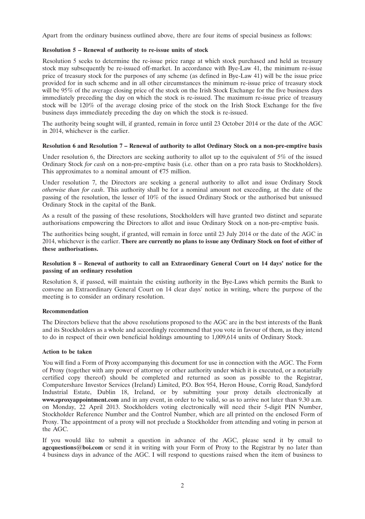Apart from the ordinary business outlined above, there are four items of special business as follows:

#### **Resolution 5 – Renewal of authority to re-issue units of stock**

Resolution 5 seeks to determine the re-issue price range at which stock purchased and held as treasury stock may subsequently be re-issued off-market. In accordance with Bye-Law 41, the minimum re-issue price of treasury stock for the purposes of any scheme (as defined in Bye-Law 41) will be the issue price provided for in such scheme and in all other circumstances the minimum re-issue price of treasury stock will be 95% of the average closing price of the stock on the Irish Stock Exchange for the five business days immediately preceding the day on which the stock is re-issued. The maximum re-issue price of treasury stock will be 120% of the average closing price of the stock on the Irish Stock Exchange for the five business days immediately preceding the day on which the stock is re-issued.

The authority being sought will, if granted, remain in force until 23 October 2014 or the date of the AGC in 2014, whichever is the earlier.

#### **Resolution 6 and Resolution 7 – Renewal of authority to allot Ordinary Stock on a non-pre-emptive basis**

Under resolution 6, the Directors are seeking authority to allot up to the equivalent of 5% of the issued Ordinary Stock *for cash* on a non-pre-emptive basis (i.e. other than on a pro rata basis to Stockholders). This approximates to a nominal amount of  $E$ 75 million.

Under resolution 7, the Directors are seeking a general authority to allot and issue Ordinary Stock *otherwise than for cash*. This authority shall be for a nominal amount not exceeding, at the date of the passing of the resolution, the lesser of 10% of the issued Ordinary Stock or the authorised but unissued Ordinary Stock in the capital of the Bank.

As a result of the passing of these resolutions, Stockholders will have granted two distinct and separate authorisations empowering the Directors to allot and issue Ordinary Stock on a non-pre-emptive basis.

The authorities being sought, if granted, will remain in force until 23 July 2014 or the date of the AGC in 2014, whichever is the earlier. **There are currently no plans to issue any Ordinary Stock on foot of either of these authorisations.**

## **Resolution 8 – Renewal of authority to call an Extraordinary General Court on 14 days' notice for the passing of an ordinary resolution**

Resolution 8, if passed, will maintain the existing authority in the Bye-Laws which permits the Bank to convene an Extraordinary General Court on 14 clear days' notice in writing, where the purpose of the meeting is to consider an ordinary resolution.

## **Recommendation**

The Directors believe that the above resolutions proposed to the AGC are in the best interests of the Bank and its Stockholders as a whole and accordingly recommend that you vote in favour of them, as they intend to do in respect of their own beneficial holdings amounting to 1,009,614 units of Ordinary Stock.

#### **Action to be taken**

You will find a Form of Proxy accompanying this document for use in connection with the AGC. The Form of Proxy (together with any power of attorney or other authority under which it is executed, or a notarially certified copy thereof) should be completed and returned as soon as possible to the Registrar, Computershare Investor Services (Ireland) Limited, P.O. Box 954, Heron House, Corrig Road, Sandyford Industrial Estate, Dublin 18, Ireland, or by submitting your proxy details electronically at **www.eproxyappointment.com** and in any event, in order to be valid, so as to arrive not later than 9.30 a.m. on Monday, 22 April 2013. Stockholders voting electronically will need their 5-digit PIN Number, Stockholder Reference Number and the Control Number, which are all printed on the enclosed Form of Proxy. The appointment of a proxy will not preclude a Stockholder from attending and voting in person at the AGC.

If you would like to submit a question in advance of the AGC, please send it by email to **agcquestions@boi.com** or send it in writing with your Form of Proxy to the Registrar by no later than 4 business days in advance of the AGC. I will respond to questions raised when the item of business to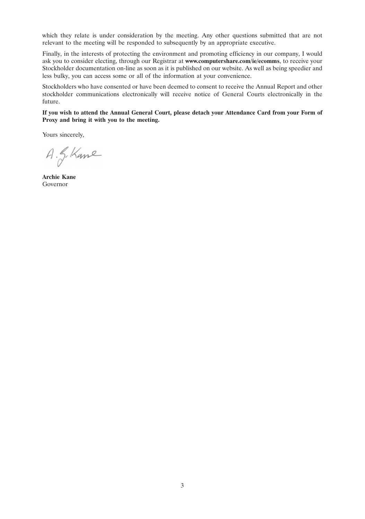which they relate is under consideration by the meeting. Any other questions submitted that are not relevant to the meeting will be responded to subsequently by an appropriate executive.

Finally, in the interests of protecting the environment and promoting efficiency in our company, I would ask you to consider electing, through our Registrar at **www.computershare.com/ie/ecomms**, to receive your Stockholder documentation on-line as soon as it is published on our website. As well as being speedier and less bulky, you can access some or all of the information at your convenience.

Stockholders who have consented or have been deemed to consent to receive the Annual Report and other stockholder communications electronically will receive notice of General Courts electronically in the future.

**If you wish to attend the Annual General Court, please detach your Attendance Card from your Form of Proxy and bring it with you to the meeting.**

Yours sincerely,

A. S. Kane

**Archie Kane** Governor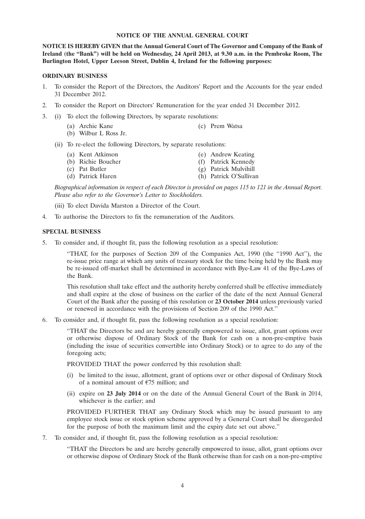#### **NOTICE OF THE ANNUAL GENERAL COURT**

**NOTICE IS HEREBY GIVEN that the Annual General Court of The Governor and Company of the Bank of Ireland (the ''Bank'') will be held on Wednesday, 24 April 2013, at 9.30 a.m. in the Pembroke Room, The Burlington Hotel, Upper Leeson Street, Dublin 4, Ireland for the following purposes:**

#### **ORDINARY BUSINESS**

- 1. To consider the Report of the Directors, the Auditors' Report and the Accounts for the year ended 31 December 2012.
- 2. To consider the Report on Directors' Remuneration for the year ended 31 December 2012.
- 3. (i) To elect the following Directors, by separate resolutions:
	- (a) Archie Kane (c) Prem Watsa
	- (b) Wilbur L Ross Jr.
	- (ii) To re-elect the following Directors, by separate resolutions:
		- (a) Kent Atkinson (e) Andrew Keating<br>
		(b) Richie Boucher (f) Patrick Kennedy
		- (b) Richie Boucher (f) Patrick Kennedy<br>
		(c) Pat Butler (g) Patrick Mulvihill
		-
		- (d) Patrick Haren (h) Patrick O'Sullivan

*Biographical information in respect of each Director is provided on pages 115 to 121 in the Annual Report. Please also refer to the Governor's Letter to Stockholders.*

 $(g)$  Patrick Mulvihill

(iii) To elect Davida Marston a Director of the Court.

4. To authorise the Directors to fix the remuneration of the Auditors.

#### **SPECIAL BUSINESS**

5. To consider and, if thought fit, pass the following resolution as a special resolution:

''THAT, for the purposes of Section 209 of the Companies Act, 1990 (the ''1990 Act''), the re-issue price range at which any units of treasury stock for the time being held by the Bank may be re-issued off-market shall be determined in accordance with Bye-Law 41 of the Bye-Laws of the Bank.

This resolution shall take effect and the authority hereby conferred shall be effective immediately and shall expire at the close of business on the earlier of the date of the next Annual General Court of the Bank after the passing of this resolution or **23 October 2014** unless previously varied or renewed in accordance with the provisions of Section 209 of the 1990 Act.''

6. To consider and, if thought fit, pass the following resolution as a special resolution:

''THAT the Directors be and are hereby generally empowered to issue, allot, grant options over or otherwise dispose of Ordinary Stock of the Bank for cash on a non-pre-emptive basis (including the issue of securities convertible into Ordinary Stock) or to agree to do any of the foregoing acts;

PROVIDED THAT the power conferred by this resolution shall:

- (i) be limited to the issue, allotment, grant of options over or other disposal of Ordinary Stock of a nominal amount of  $E$ 75 million; and
- (ii) expire on **23 July 2014** or on the date of the Annual General Court of the Bank in 2014, whichever is the earlier; and

PROVIDED FURTHER THAT any Ordinary Stock which may be issued pursuant to any employee stock issue or stock option scheme approved by a General Court shall be disregarded for the purpose of both the maximum limit and the expiry date set out above.''

7. To consider and, if thought fit, pass the following resolution as a special resolution:

''THAT the Directors be and are hereby generally empowered to issue, allot, grant options over or otherwise dispose of Ordinary Stock of the Bank otherwise than for cash on a non-pre-emptive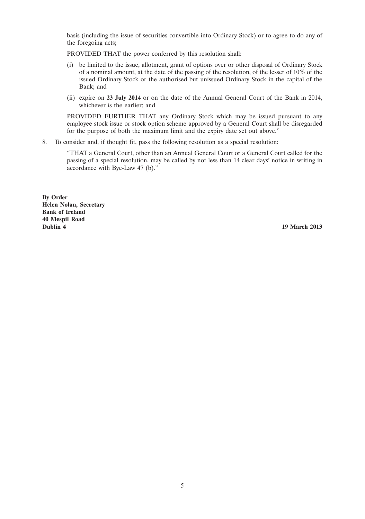basis (including the issue of securities convertible into Ordinary Stock) or to agree to do any of the foregoing acts;

PROVIDED THAT the power conferred by this resolution shall:

- (i) be limited to the issue, allotment, grant of options over or other disposal of Ordinary Stock of a nominal amount, at the date of the passing of the resolution, of the lesser of 10% of the issued Ordinary Stock or the authorised but unissued Ordinary Stock in the capital of the Bank; and
- (ii) expire on **23 July 2014** or on the date of the Annual General Court of the Bank in 2014, whichever is the earlier; and

PROVIDED FURTHER THAT any Ordinary Stock which may be issued pursuant to any employee stock issue or stock option scheme approved by a General Court shall be disregarded for the purpose of both the maximum limit and the expiry date set out above.''

8. To consider and, if thought fit, pass the following resolution as a special resolution:

''THAT a General Court, other than an Annual General Court or a General Court called for the passing of a special resolution, may be called by not less than 14 clear days' notice in writing in accordance with Bye-Law 47 (b).''

**By Order Helen Nolan, Secretary Bank of Ireland 40 Mespil Road**

**19 March 2013**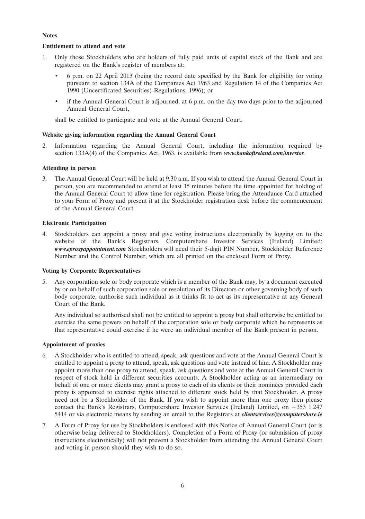## **Notes**

# **Entitlement to attend and vote**

- 1. Only those Stockholders who are holders of fully paid units of capital stock of the Bank and are registered on the Bank's register of members at:
	- 6 p.m. on 22 April 2013 (being the record date specified by the Bank for eligibility for voting pursuant to section 134A of the Companies Act 1963 and Regulation 14 of the Companies Act 1990 (Uncertificated Securities) Regulations, 1996); or
	- if the Annual General Court is adjourned, at 6 p.m. on the day two days prior to the adjourned Annual General Court,

shall be entitled to participate and vote at the Annual General Court.

## **Website giving information regarding the Annual General Court**

2. Information regarding the Annual General Court, including the information required by section 133A(4) of the Companies Act, 1963, is available from *www.bankofireland.com/investor*.

# **Attending in person**

3. The Annual General Court will be held at 9.30 a.m. If you wish to attend the Annual General Court in person, you are recommended to attend at least 15 minutes before the time appointed for holding of the Annual General Court to allow time for registration. Please bring the Attendance Card attached to your Form of Proxy and present it at the Stockholder registration desk before the commencement of the Annual General Court.

## **Electronic Participation**

4. Stockholders can appoint a proxy and give voting instructions electronically by logging on to the website of the Bank's Registrars, Computershare Investor Services (Ireland) Limited: *www.eproxyappointment.com* Stockholders will need their 5-digit PIN Number, Stockholder Reference Number and the Control Number, which are all printed on the enclosed Form of Proxy.

## **Voting by Corporate Representatives**

5. Any corporation sole or body corporate which is a member of the Bank may, by a document executed by or on behalf of such corporation sole or resolution of its Directors or other governing body of such body corporate, authorise such individual as it thinks fit to act as its representative at any General Court of the Bank.

Any individual so authorised shall not be entitled to appoint a proxy but shall otherwise be entitled to exercise the same powers on behalf of the corporation sole or body corporate which he represents as that representative could exercise if he were an individual member of the Bank present in person.

## **Appointment of proxies**

- 6. A Stockholder who is entitled to attend, speak, ask questions and vote at the Annual General Court is entitled to appoint a proxy to attend, speak, ask questions and vote instead of him. A Stockholder may appoint more than one proxy to attend, speak, ask questions and vote at the Annual General Court in respect of stock held in different securities accounts. A Stockholder acting as an intermediary on behalf of one or more clients may grant a proxy to each of its clients or their nominees provided each proxy is appointed to exercise rights attached to different stock held by that Stockholder. A proxy need not be a Stockholder of the Bank. If you wish to appoint more than one proxy then please contact the Bank's Registrars, Computershare Investor Services (Ireland) Limited, on +353 1 247 5414 or via electronic means by sending an email to the Registrars at *clientservices@computershare.ie*
- 7. A Form of Proxy for use by Stockholders is enclosed with this Notice of Annual General Court (or is otherwise being delivered to Stockholders). Completion of a Form of Proxy (or submission of proxy instructions electronically) will not prevent a Stockholder from attending the Annual General Court and voting in person should they wish to do so.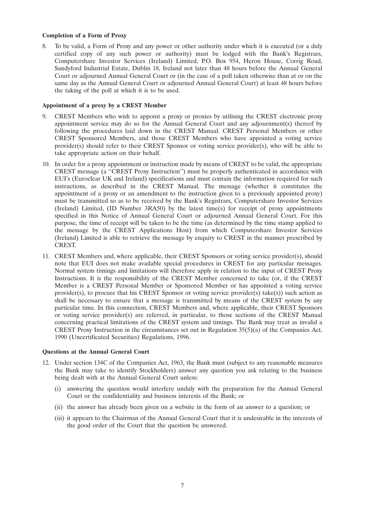#### **Completion of a Form of Proxy**

8. To be valid, a Form of Proxy and any power or other authority under which it is executed (or a duly certified copy of any such power or authority) must be lodged with the Bank's Registrars, Computershare Investor Services (Ireland) Limited, P.O. Box 954, Heron House, Corrig Road, Sandyford Industrial Estate, Dublin 18, Ireland not later than 48 hours before the Annual General Court or adjourned Annual General Court or (in the case of a poll taken otherwise than at or on the same day as the Annual General Court or adjourned Annual General Court) at least 48 hours before the taking of the poll at which it is to be used.

## **Appointment of a proxy by a CREST Member**

- 9. CREST Members who wish to appoint a proxy or proxies by utilising the CREST electronic proxy appointment service may do so for the Annual General Court and any adjournment(s) thereof by following the procedures laid down in the CREST Manual. CREST Personal Members or other CREST Sponsored Members, and those CREST Members who have appointed a voting service provider(s) should refer to their CREST Sponsor or voting service provider(s), who will be able to take appropriate action on their behalf.
- 10. In order for a proxy appointment or instruction made by means of CREST to be valid, the appropriate CREST message (a ''CREST Proxy Instruction'') must be properly authenticated in accordance with EUI's (Euroclear UK and Ireland) specifications and must contain the information required for such instructions, as described in the CREST Manual. The message (whether it constitutes the appointment of a proxy or an amendment to the instruction given to a previously appointed proxy) must be transmitted so as to be received by the Bank's Registrars, Computershare Investor Services (Ireland) Limited, (ID Number 3RA50) by the latest time(s) for receipt of proxy appointments specified in this Notice of Annual General Court or adjourned Annual General Court. For this purpose, the time of receipt will be taken to be the time (as determined by the time stamp applied to the message by the CREST Applications Host) from which Computershare Investor Services (Ireland) Limited is able to retrieve the message by enquiry to CREST in the manner prescribed by CREST.
- 11. CREST Members and, where applicable, their CREST Sponsors or voting service provider(s), should note that EUI does not make available special procedures in CREST for any particular messages. Normal system timings and limitations will therefore apply in relation to the input of CREST Proxy Instructions. It is the responsibility of the CREST Member concerned to take (or, if the CREST Member is a CREST Personal Member or Sponsored Member or has appointed a voting service provider(s), to procure that his CREST Sponsor or voting service provider(s) take(s)) such action as shall be necessary to ensure that a message is transmitted by means of the CREST system by any particular time. In this connection, CREST Members and, where applicable, their CREST Sponsors or voting service provider(s) are referred, in particular, to those sections of the CREST Manual concerning practical limitations of the CREST system and timings. The Bank may treat as invalid a CREST Proxy Instruction in the circumstances set out in Regulation  $35(5)(a)$  of the Companies Act, 1990 (Uncertificated Securities) Regulations, 1996.

#### **Questions at the Annual General Court**

- 12. Under section 134C of the Companies Act, 1963, the Bank must (subject to any reasonable measures the Bank may take to identify Stockholders) answer any question you ask relating to the business being dealt with at the Annual General Court unless:
	- (i) answering the question would interfere unduly with the preparation for the Annual General Court or the confidentiality and business interests of the Bank; or
	- (ii) the answer has already been given on a website in the form of an answer to a question; or
	- (iii) it appears to the Chairman of the Annual General Court that it is undesirable in the interests of the good order of the Court that the question be answered.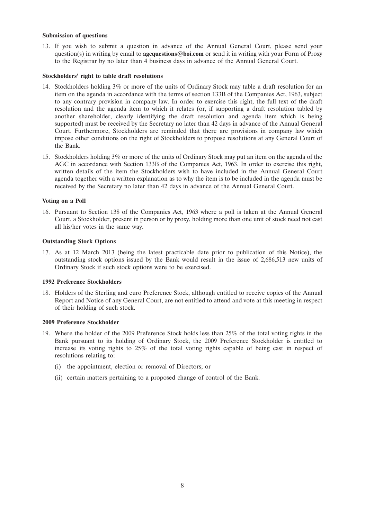#### **Submission of questions**

13. If you wish to submit a question in advance of the Annual General Court, please send your question(s) in writing by email to **agcquestions@boi.com** or send it in writing with your Form of Proxy to the Registrar by no later than 4 business days in advance of the Annual General Court.

#### **Stockholders' right to table draft resolutions**

- 14. Stockholders holding 3% or more of the units of Ordinary Stock may table a draft resolution for an item on the agenda in accordance with the terms of section 133B of the Companies Act, 1963, subject to any contrary provision in company law. In order to exercise this right, the full text of the draft resolution and the agenda item to which it relates (or, if supporting a draft resolution tabled by another shareholder, clearly identifying the draft resolution and agenda item which is being supported) must be received by the Secretary no later than 42 days in advance of the Annual General Court. Furthermore, Stockholders are reminded that there are provisions in company law which impose other conditions on the right of Stockholders to propose resolutions at any General Court of the Bank.
- 15. Stockholders holding 3% or more of the units of Ordinary Stock may put an item on the agenda of the AGC in accordance with Section 133B of the Companies Act, 1963. In order to exercise this right, written details of the item the Stockholders wish to have included in the Annual General Court agenda together with a written explanation as to why the item is to be included in the agenda must be received by the Secretary no later than 42 days in advance of the Annual General Court.

## **Voting on a Poll**

16. Pursuant to Section 138 of the Companies Act, 1963 where a poll is taken at the Annual General Court, a Stockholder, present in person or by proxy, holding more than one unit of stock need not cast all his/her votes in the same way.

# **Outstanding Stock Options**

17. As at 12 March 2013 (being the latest practicable date prior to publication of this Notice), the outstanding stock options issued by the Bank would result in the issue of 2,686,513 new units of Ordinary Stock if such stock options were to be exercised.

#### **1992 Preference Stockholders**

18. Holders of the Sterling and euro Preference Stock, although entitled to receive copies of the Annual Report and Notice of any General Court, are not entitled to attend and vote at this meeting in respect of their holding of such stock.

#### **2009 Preference Stockholder**

- 19. Where the holder of the 2009 Preference Stock holds less than 25% of the total voting rights in the Bank pursuant to its holding of Ordinary Stock, the 2009 Preference Stockholder is entitled to increase its voting rights to 25% of the total voting rights capable of being cast in respect of resolutions relating to:
	- (i) the appointment, election or removal of Directors; or
	- (ii) certain matters pertaining to a proposed change of control of the Bank.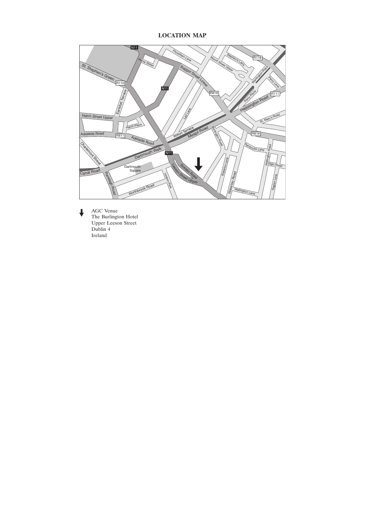# **LOCATION MAP**



↓ AGC Venue<br>The Burlington Hotel Upper Leeson Street Dublin 4 Ireland